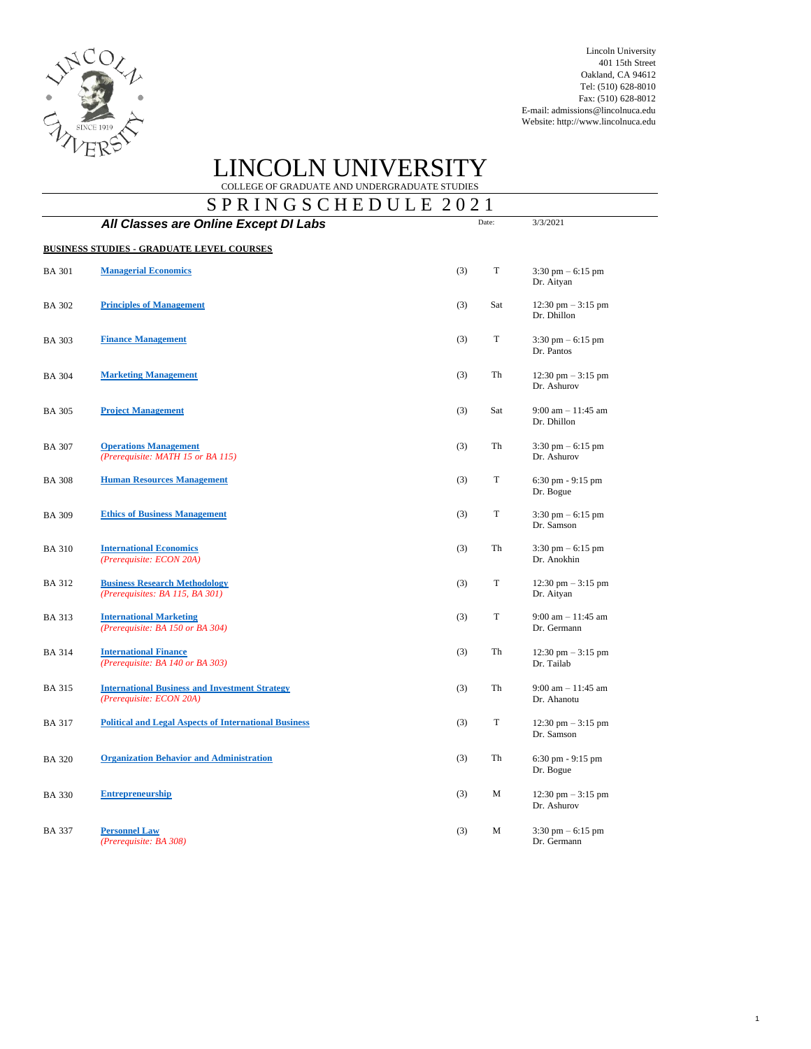

Lincoln University 401 15th Street Oakland, CA 94612 Tel: (510) 628-8010 Fax: (510) 628-8012 E-mail: [admissions@lincolnuca.edu](mailto:admissions@lincolnuca.edu) Website: [http://www.lincolnuca.edu](http://www.lincolnuca.edu/)

# LINCOLN UNIVERSITY COLLEGE OF GRADUATE AND UNDERGRADUATE STUDIES

 $S$  P P I N G S C H E D I L E 2021

|               | S P R I N G S C H E D U L E  2021                                                 |     | Date:       | 3/3/2021                                            |
|---------------|-----------------------------------------------------------------------------------|-----|-------------|-----------------------------------------------------|
|               | All Classes are Online Except DI Labs                                             |     |             |                                                     |
|               | <b>BUSINESS STUDIES - GRADUATE LEVEL COURSES</b>                                  |     |             |                                                     |
| <b>BA 301</b> | <b>Managerial Economics</b>                                                       | (3) | T           | $3:30 \text{ pm} - 6:15 \text{ pm}$<br>Dr. Aityan   |
| <b>BA 302</b> | <b>Principles of Management</b>                                                   | (3) | Sat         | $12:30 \text{ pm} - 3:15 \text{ pm}$<br>Dr. Dhillon |
| <b>BA 303</b> | <b>Finance Management</b>                                                         | (3) | T           | $3:30 \text{ pm} - 6:15 \text{ pm}$<br>Dr. Pantos   |
| <b>BA 304</b> | <b>Marketing Management</b>                                                       | (3) | Th          | $12:30$ pm $-3:15$ pm<br>Dr. Ashurov                |
| <b>BA 305</b> | <b>Project Management</b>                                                         | (3) | Sat         | $9:00$ am $-11:45$ am<br>Dr. Dhillon                |
| <b>BA 307</b> | <b>Operations Management</b><br>(Prerequisite: MATH 15 or BA 115)                 | (3) | Th          | $3:30 \text{ pm} - 6:15 \text{ pm}$<br>Dr. Ashurov  |
| <b>BA 308</b> | <b>Human Resources Management</b>                                                 | (3) | $\mathbf T$ | 6:30 pm - 9:15 pm<br>Dr. Bogue                      |
| <b>BA 309</b> | <b>Ethics of Business Management</b>                                              | (3) | $\mathbf T$ | $3:30 \text{ pm} - 6:15 \text{ pm}$<br>Dr. Samson   |
| <b>BA 310</b> | <b>International Economics</b><br>(Prerequisite: ECON 20A)                        | (3) | Th          | $3:30 \text{ pm} - 6:15 \text{ pm}$<br>Dr. Anokhin  |
| <b>BA 312</b> | <b>Business Research Methodology</b><br>(Prerequisites: BA 115, BA 301)           | (3) | T           | $12:30 \text{ pm} - 3:15 \text{ pm}$<br>Dr. Aityan  |
| <b>BA 313</b> | <b>International Marketing</b><br>(Prerequisite: BA 150 or BA 304)                | (3) | $\mathbf T$ | $9:00$ am $-11:45$ am<br>Dr. Germann                |
| <b>BA 314</b> | <b>International Finance</b><br>(Prerequisite: BA 140 or BA 303)                  | (3) | Th          | $12:30 \text{ pm} - 3:15 \text{ pm}$<br>Dr. Tailab  |
| <b>BA 315</b> | <b>International Business and Investment Strategy</b><br>(Prerequisite: ECON 20A) | (3) | Th          | $9:00$ am $-11:45$ am<br>Dr. Ahanotu                |
| <b>BA 317</b> | <b>Political and Legal Aspects of International Business</b>                      | (3) | T           | 12:30 pm $-3:15$ pm<br>Dr. Samson                   |
| <b>BA 320</b> | <b>Organization Behavior and Administration</b>                                   | (3) | Th          | $6:30$ pm $-9:15$ pm<br>Dr. Bogue                   |
| <b>BA 330</b> | <b>Entrepreneurship</b>                                                           | (3) | М           | 12:30 pm $-$ 3:15 pm<br>Dr. Ashurov                 |
| <b>BA 337</b> | <b>Personnel Law</b><br>(Prerequisite: BA 308)                                    | (3) | М           | $3:30 \text{ pm} - 6:15 \text{ pm}$<br>Dr. Germann  |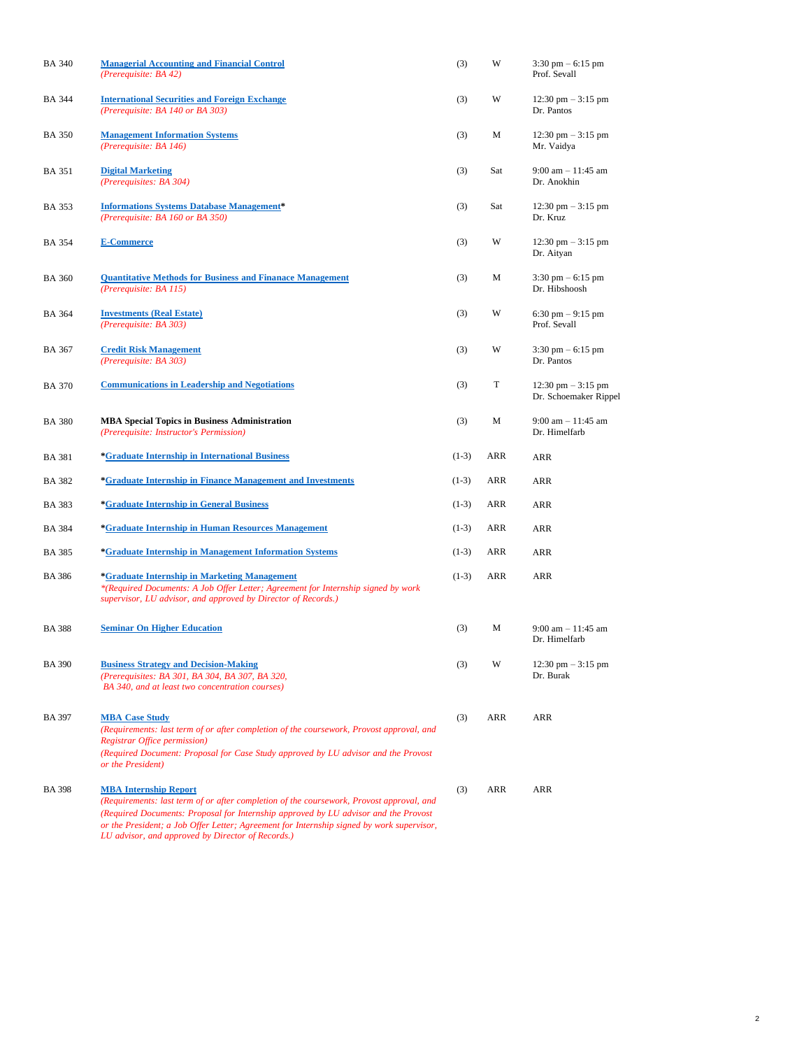| <b>BA 340</b> | <b>Managerial Accounting and Financial Control</b><br>(Prerequisite: BA 42)                                                                                                                                                                                                                                  | (3)     | W   | $3:30$ pm $-6:15$ pm<br>Prof. Sevall                          |
|---------------|--------------------------------------------------------------------------------------------------------------------------------------------------------------------------------------------------------------------------------------------------------------------------------------------------------------|---------|-----|---------------------------------------------------------------|
| <b>BA 344</b> | <b>International Securities and Foreign Exchange</b><br>(Prerequisite: BA 140 or BA 303)                                                                                                                                                                                                                     | (3)     | W   | 12:30 pm $-$ 3:15 pm<br>Dr. Pantos                            |
| <b>BA 350</b> | <b>Management Information Systems</b><br>(Prerequisite: BA 146)                                                                                                                                                                                                                                              | (3)     | М   | 12:30 pm $-$ 3:15 pm<br>Mr. Vaidya                            |
| <b>BA 351</b> | <b>Digital Marketing</b><br>(Prerequisites: BA 304)                                                                                                                                                                                                                                                          | (3)     | Sat | $9:00$ am $-11:45$ am<br>Dr. Anokhin                          |
| <b>BA 353</b> | <b>Informations Systems Database Management*</b><br>(Prerequisite: BA 160 or BA 350)                                                                                                                                                                                                                         | (3)     | Sat | $12:30 \text{ pm} - 3:15 \text{ pm}$<br>Dr. Kruz              |
| <b>BA 354</b> | <b>E-Commerce</b>                                                                                                                                                                                                                                                                                            | (3)     | W   | 12:30 pm $-$ 3:15 pm<br>Dr. Aityan                            |
| <b>BA 360</b> | <b>Quantitative Methods for Business and Finanace Management</b><br>(Prerequisite: BA 115)                                                                                                                                                                                                                   | (3)     | М   | $3:30 \text{ pm} - 6:15 \text{ pm}$<br>Dr. Hibshoosh          |
| <b>BA 364</b> | <b>Investments (Real Estate)</b><br>(Prerequisite: BA 303)                                                                                                                                                                                                                                                   | (3)     | W   | $6:30 \text{ pm} - 9:15 \text{ pm}$<br>Prof. Sevall           |
| <b>BA 367</b> | <b>Credit Risk Management</b><br>(Prerequisite: BA 303)                                                                                                                                                                                                                                                      | (3)     | W   | $3:30 \text{ pm} - 6:15 \text{ pm}$<br>Dr. Pantos             |
| <b>BA 370</b> | <b>Communications in Leadership and Negotiations</b>                                                                                                                                                                                                                                                         | (3)     | T   | $12:30 \text{ pm} - 3:15 \text{ pm}$<br>Dr. Schoemaker Rippel |
| <b>BA 380</b> | <b>MBA Special Topics in Business Administration</b><br>(Prerequisite: Instructor's Permission)                                                                                                                                                                                                              | (3)     | М   | $9:00$ am $-11:45$ am<br>Dr. Himelfarb                        |
| <b>BA 381</b> | <i><b>*Graduate Internship in International Business</b></i>                                                                                                                                                                                                                                                 | $(1-3)$ | ARR | <b>ARR</b>                                                    |
| <b>BA 382</b> | *Graduate Internship in Finance Management and Investments                                                                                                                                                                                                                                                   | $(1-3)$ | ARR | ARR                                                           |
| <b>BA 383</b> | <i><b>*Graduate Internship in General Business</b></i>                                                                                                                                                                                                                                                       | $(1-3)$ | ARR | <b>ARR</b>                                                    |
| <b>BA 384</b> | *Graduate Internship in Human Resources Management                                                                                                                                                                                                                                                           | $(1-3)$ | ARR | ARR                                                           |
| <b>BA 385</b> | *Graduate Internship in Management Information Systems                                                                                                                                                                                                                                                       | $(1-3)$ | ARR | ARR                                                           |
| <b>BA386</b>  | <i>*Graduate Internship in Marketing Management</i><br>*(Required Documents: A Job Offer Letter; Agreement for Internship signed by work<br>supervisor, LU advisor, and approved by Director of Records.)                                                                                                    | $(1-3)$ | ARR | ARR                                                           |
| <b>BA388</b>  | <b>Seminar On Higher Education</b>                                                                                                                                                                                                                                                                           | (3)     | М   | $9:00$ am $-11:45$ am<br>Dr. Himelfarb                        |
| <b>BA 390</b> | <b>Business Strategy and Decision-Making</b><br>(Prerequisites: BA 301, BA 304, BA 307, BA 320,<br>BA 340, and at least two concentration courses)                                                                                                                                                           | (3)     | W   | $12:30 \text{ pm} - 3:15 \text{ pm}$<br>Dr. Burak             |
| <b>BA 397</b> | <b>MBA Case Study</b><br>(Requirements: last term of or after completion of the coursework, Provost approval, and<br>Registrar Office permission)<br>(Required Document: Proposal for Case Study approved by LU advisor and the Provost<br>or the President)                                                 | (3)     | ARR | ARR                                                           |
| <b>BA 398</b> | <b>MBA Internship Report</b><br>(Requirements: last term of or after completion of the coursework, Provost approval, and<br>(Required Documents: Proposal for Internship approved by LU advisor and the Provost<br>or the President; a Job Offer Letter; Agreement for Internship signed by work supervisor, | (3)     | ARR | ARR                                                           |

*LU advisor, and approved by Director of Records.)*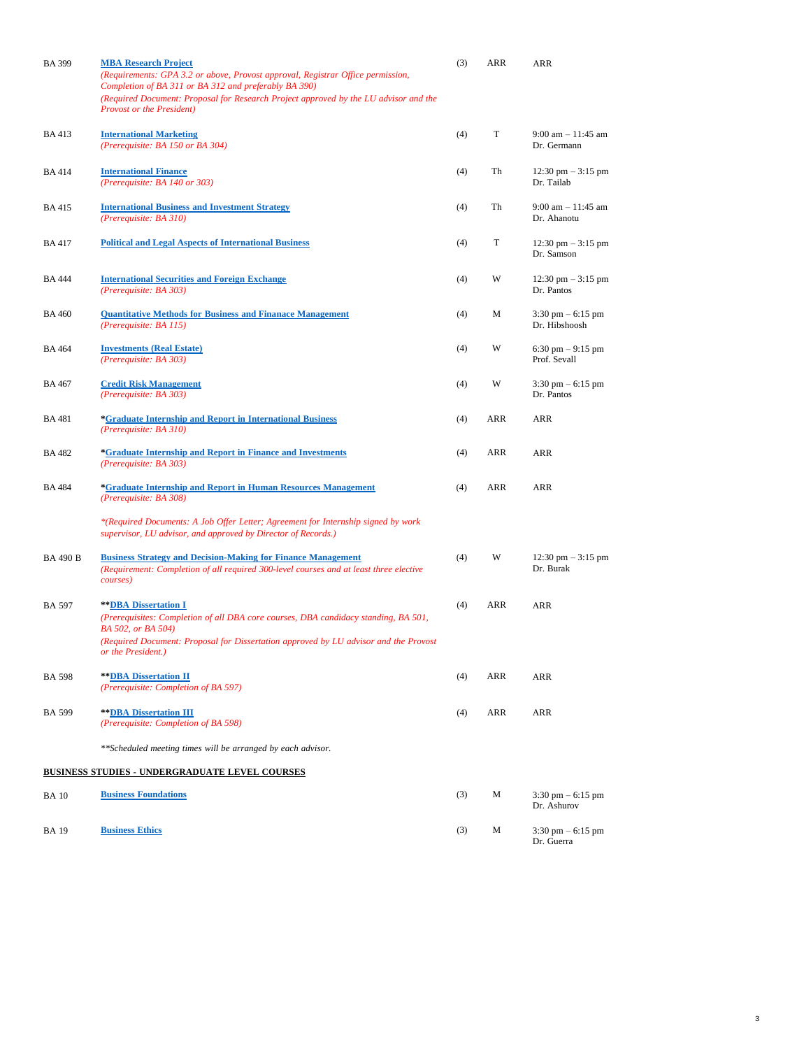| <b>BA 399</b>   | <b>MBA Research Project</b><br>(Requirements: GPA 3.2 or above, Provost approval, Registrar Office permission,<br>Completion of BA 311 or BA 312 and preferably BA 390)<br>(Required Document: Proposal for Research Project approved by the LU advisor and the<br><b>Provost or the President)</b> | (3) | ARR | ARR                                                |
|-----------------|-----------------------------------------------------------------------------------------------------------------------------------------------------------------------------------------------------------------------------------------------------------------------------------------------------|-----|-----|----------------------------------------------------|
| <b>BA413</b>    | <b>International Marketing</b><br>(Prerequisite: BA 150 or BA 304)                                                                                                                                                                                                                                  | (4) | T   | $9:00$ am $-11:45$ am<br>Dr. Germann               |
| <b>BA414</b>    | <b>International Finance</b><br>(Prerequisite: BA 140 or 303)                                                                                                                                                                                                                                       | (4) | Th  | $12:30 \text{ pm} - 3:15 \text{ pm}$<br>Dr. Tailab |
| <b>BA415</b>    | <b>International Business and Investment Strategy</b><br>(Prerequisite: BA 310)                                                                                                                                                                                                                     | (4) | Th  | $9:00$ am $-11:45$ am<br>Dr. Ahanotu               |
| <b>BA417</b>    | <b>Political and Legal Aspects of International Business</b>                                                                                                                                                                                                                                        | (4) | T   | 12:30 pm $-$ 3:15 pm<br>Dr. Samson                 |
| <b>BA 444</b>   | <b>International Securities and Foreign Exchange</b><br>(Prerequisite: BA 303)                                                                                                                                                                                                                      | (4) | W   | $12:30 \text{ pm} - 3:15 \text{ pm}$<br>Dr. Pantos |
| <b>BA 460</b>   | <b>Quantitative Methods for Business and Finanace Management</b><br>(Prerequisite: BA 115)                                                                                                                                                                                                          | (4) | M   | $3:30$ pm $-6:15$ pm<br>Dr. Hibshoosh              |
| <b>BA 464</b>   | <b>Investments (Real Estate)</b><br>(Prerequisite: BA 303)                                                                                                                                                                                                                                          | (4) | W   | 6:30 pm $-9:15$ pm<br>Prof. Sevall                 |
| <b>BA 467</b>   | <b>Credit Risk Management</b><br>(Prerequisite: BA 303)                                                                                                                                                                                                                                             | (4) | W   | $3:30 \text{ pm} - 6:15 \text{ pm}$<br>Dr. Pantos  |
| <b>BA 481</b>   | <i><b>*Graduate Internship and Report in International Business</b></i><br>(Prerequisite: BA 310)                                                                                                                                                                                                   | (4) | ARR | ARR                                                |
| <b>BA 482</b>   | *Graduate Internship and Report in Finance and Investments<br>(Prerequisite: BA 303)                                                                                                                                                                                                                | (4) | ARR | ARR                                                |
| <b>BA 484</b>   | *Graduate Internship and Report in Human Resources Management<br>(Prerequisite: BA 308)                                                                                                                                                                                                             | (4) | ARR | <b>ARR</b>                                         |
|                 | *(Required Documents: A Job Offer Letter; Agreement for Internship signed by work<br>supervisor, LU advisor, and approved by Director of Records.)                                                                                                                                                  |     |     |                                                    |
| <b>BA 490 B</b> | <b>Business Strategy and Decision-Making for Finance Management</b><br>(Requirement: Completion of all required 300-level courses and at least three elective<br>courses)                                                                                                                           | (4) | W   | $12:30 \text{ pm} - 3:15 \text{ pm}$<br>Dr. Burak  |
| <b>BA 597</b>   | <b>** DBA Dissertation I</b><br>(Prerequisites: Completion of all DBA core courses, DBA candidacy standing, BA 501,<br>BA 502, or BA 504)                                                                                                                                                           | (4) | ARR | ARR                                                |
|                 | (Required Document: Proposal for Dissertation approved by LU advisor and the Provost<br>or the President.)                                                                                                                                                                                          |     |     |                                                    |
| <b>BA 598</b>   | <b>** DBA Dissertation II</b><br>(Prerequisite: Completion of BA 597)                                                                                                                                                                                                                               | (4) | ARR | ARR                                                |
| <b>BA 599</b>   | ** DBA Dissertation III<br>(Prerequisite: Completion of BA 598)                                                                                                                                                                                                                                     | (4) | ARR | ARR                                                |
|                 | **Scheduled meeting times will be arranged by each advisor.                                                                                                                                                                                                                                         |     |     |                                                    |
|                 | <b>BUSINESS STUDIES - UNDERGRADUATE LEVEL COURSES</b>                                                                                                                                                                                                                                               |     |     |                                                    |
| <b>BA</b> 10    | <b>Business Foundations</b>                                                                                                                                                                                                                                                                         | (3) | M   | $3:30 \text{ pm} - 6:15 \text{ pm}$<br>Dr. Ashurov |
| <b>BA</b> 19    | <b>Business Ethics</b>                                                                                                                                                                                                                                                                              | (3) | M   | $3:30 \text{ pm} - 6:15 \text{ pm}$<br>Dr. Guerra  |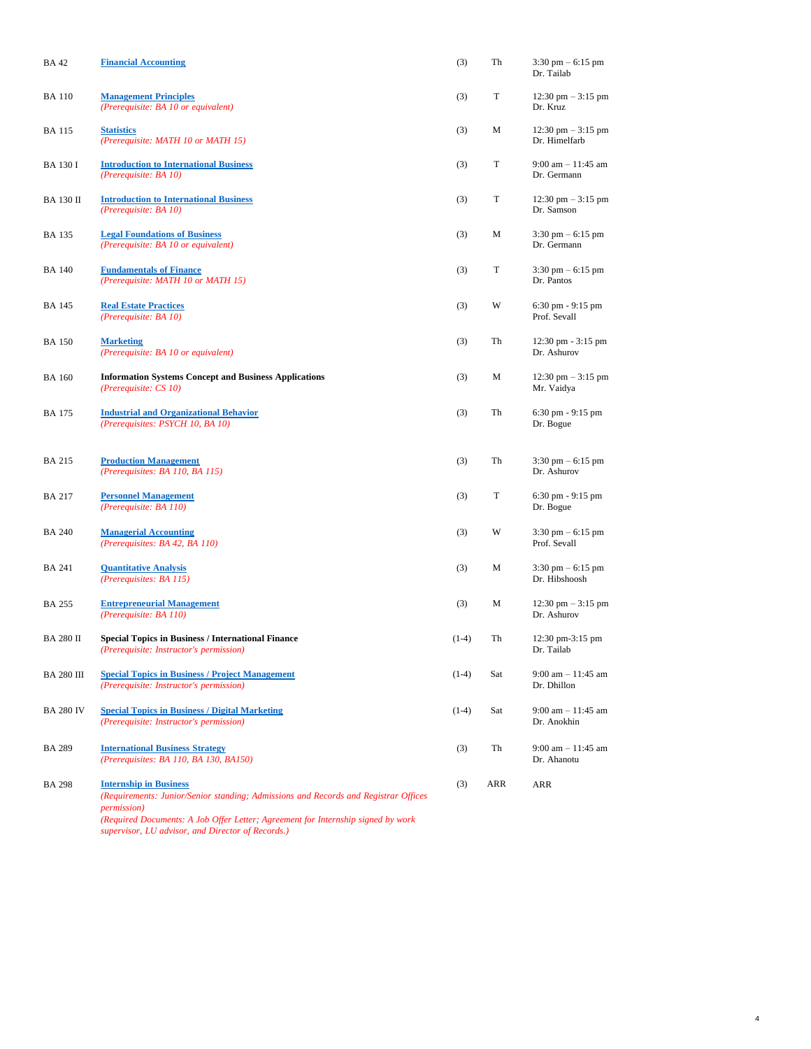| <b>BA42</b>       | <b>Financial Accounting</b>                                                                                                                                                                                                     | (3)     | Th  | $3:30 \text{ pm} - 6:15 \text{ pm}$<br>Dr. Tailab     |
|-------------------|---------------------------------------------------------------------------------------------------------------------------------------------------------------------------------------------------------------------------------|---------|-----|-------------------------------------------------------|
| <b>BA</b> 110     | <b>Management Principles</b><br>(Prerequisite: BA 10 or equivalent)                                                                                                                                                             | (3)     | T   | $12:30 \text{ pm} - 3:15 \text{ pm}$<br>Dr. Kruz      |
| <b>BA</b> 115     | <b>Statistics</b><br>(Prerequisite: MATH 10 or MATH 15)                                                                                                                                                                         | (3)     | М   | $12:30 \text{ pm} - 3:15 \text{ pm}$<br>Dr. Himelfarb |
| <b>BA 130 I</b>   | <b>Introduction to International Business</b><br>(Prerequisite: BA 10)                                                                                                                                                          | (3)     | T   | 9:00 am $- 11:45$ am<br>Dr. Germann                   |
| <b>BA 130 II</b>  | <b>Introduction to International Business</b><br>(Prerequisite: BA 10)                                                                                                                                                          | (3)     | T   | 12:30 pm $-3:15$ pm<br>Dr. Samson                     |
| <b>BA 135</b>     | <b>Legal Foundations of Business</b><br>(Prerequisite: BA 10 or equivalent)                                                                                                                                                     | (3)     | М   | $3:30 \text{ pm} - 6:15 \text{ pm}$<br>Dr. Germann    |
| <b>BA</b> 140     | <b>Fundamentals of Finance</b><br>(Prerequisite: MATH 10 or MATH 15)                                                                                                                                                            | (3)     | T   | $3:30 \text{ pm} - 6:15 \text{ pm}$<br>Dr. Pantos     |
| <b>BA</b> 145     | <b>Real Estate Practices</b><br>(Prerequisite: BA 10)                                                                                                                                                                           | (3)     | W   | $6:30 \text{ pm} - 9:15 \text{ pm}$<br>Prof. Sevall   |
| <b>BA</b> 150     | <b>Marketing</b><br>(Prerequisite: BA 10 or equivalent)                                                                                                                                                                         | (3)     | Th  | 12:30 pm - 3:15 pm<br>Dr. Ashurov                     |
| <b>BA 160</b>     | <b>Information Systems Concept and Business Applications</b><br>(Prerequisite: CS 10)                                                                                                                                           | (3)     | М   | $12:30 \text{ pm} - 3:15 \text{ pm}$<br>Mr. Vaidya    |
| <b>BA</b> 175     | <b>Industrial and Organizational Behavior</b><br>(Prerequisites: PSYCH 10, BA 10)                                                                                                                                               | (3)     | Th  | $6:30$ pm $-9:15$ pm<br>Dr. Bogue                     |
| <b>BA 215</b>     | <b>Production Management</b><br>(Prerequisites: BA 110, BA 115)                                                                                                                                                                 | (3)     | Th  | $3:30$ pm $-6:15$ pm<br>Dr. Ashurov                   |
| <b>BA 217</b>     | <b>Personnel Management</b><br>(Prerequisite: BA 110)                                                                                                                                                                           | (3)     | T   | $6:30 \text{ pm} - 9:15 \text{ pm}$<br>Dr. Bogue      |
| <b>BA 240</b>     | <b>Managerial Accounting</b><br>(Prerequisites: BA 42, BA 110)                                                                                                                                                                  | (3)     | W   | $3:30$ pm $-6:15$ pm<br>Prof. Sevall                  |
| <b>BA 241</b>     | <b>Quantitative Analysis</b><br>(Prerequisites: BA 115)                                                                                                                                                                         | (3)     | М   | $3:30$ pm $-6:15$ pm<br>Dr. Hibshoosh                 |
| <b>BA 255</b>     | <b>Entrepreneurial Management</b><br>(Prerequisite: BA 110)                                                                                                                                                                     | (3)     | М   | $12:30 \text{ pm} - 3:15 \text{ pm}$<br>Dr. Ashurov   |
| <b>BA 280 II</b>  | <b>Special Topics in Business / International Finance</b><br>(Prerequisite: Instructor's permission)                                                                                                                            | $(1-4)$ | Th  | 12:30 pm-3:15 pm<br>Dr. Tailab                        |
| <b>BA 280 III</b> | <b>Special Topics in Business / Project Management</b><br>(Prerequisite: Instructor's permission)                                                                                                                               | $(1-4)$ | Sat | $9:00$ am $-11:45$ am<br>Dr. Dhillon                  |
| <b>BA 280 IV</b>  | <b>Special Topics in Business / Digital Marketing</b><br>(Prerequisite: Instructor's permission)                                                                                                                                | $(1-4)$ | Sat | $9:00$ am $-11:45$ am<br>Dr. Anokhin                  |
| <b>BA 289</b>     | <b>International Business Strategy</b><br>(Prerequisites: BA 110, BA 130, BA150)                                                                                                                                                | (3)     | Th  | $9:00$ am $-11:45$ am<br>Dr. Ahanotu                  |
| <b>BA 298</b>     | <b>Internship in Business</b><br>(Requirements: Junior/Senior standing; Admissions and Records and Registrar Offices<br><i>permission</i> )<br>(Required Documents: A Job Offer Letter; Agreement for Internship signed by work | (3)     | ARR | ARR                                                   |

4

*supervisor, LU advisor, and Director of Records.)*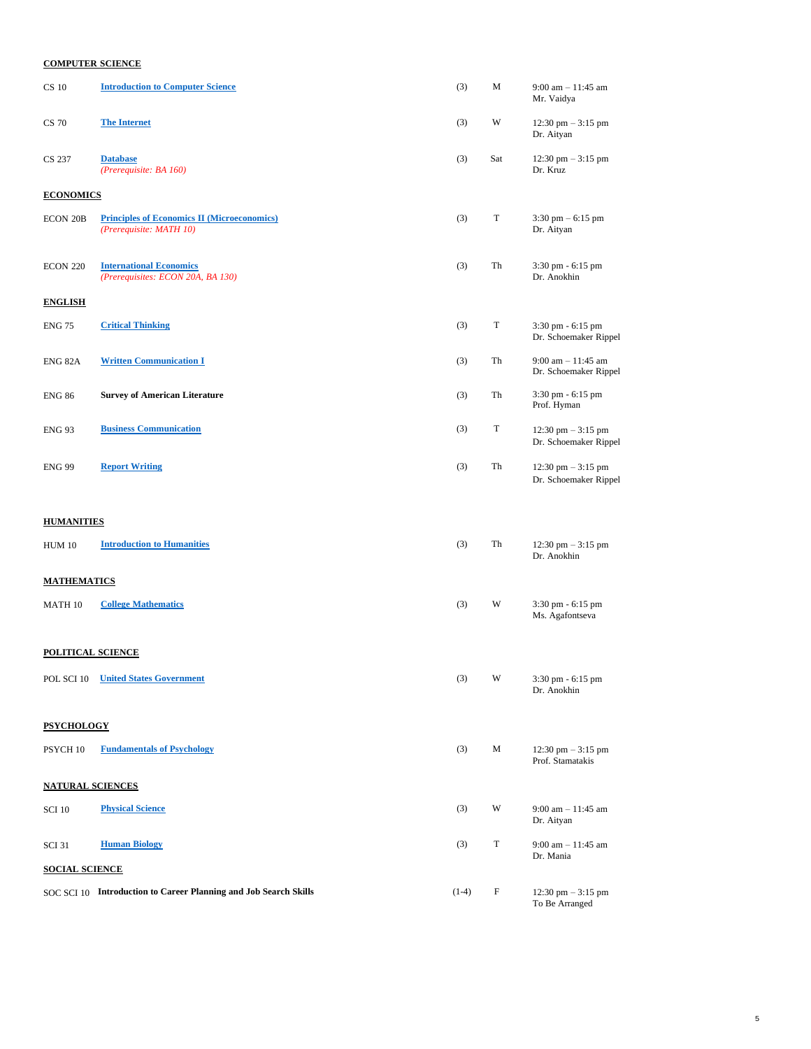# **COMPUTER SCIENCE**

| <b>CS 10</b>             | <b>Introduction to Computer Science</b>                                       | (3)     | М           | $9:00$ am $-11:45$ am<br>Mr. Vaidya                           |
|--------------------------|-------------------------------------------------------------------------------|---------|-------------|---------------------------------------------------------------|
| <b>CS 70</b>             | <b>The Internet</b>                                                           | (3)     | W           | $12:30 \text{ pm} - 3:15 \text{ pm}$<br>Dr. Aityan            |
| CS 237                   | <b>Database</b><br>(Prerequisite: BA 160)                                     | (3)     | Sat         | $12:30 \text{ pm} - 3:15 \text{ pm}$<br>Dr. Kruz              |
| <b>ECONOMICS</b>         |                                                                               |         |             |                                                               |
| <b>ECON 20B</b>          | <b>Principles of Economics II (Microeconomics)</b><br>(Prerequisite: MATH 10) | (3)     | T           | $3:30$ pm $-6:15$ pm<br>Dr. Aityan                            |
| ECON 220                 | <b>International Economics</b><br>(Prerequisites: ECON 20A, BA 130)           | (3)     | Th          | 3:30 pm - 6:15 pm<br>Dr. Anokhin                              |
| <b>ENGLISH</b>           |                                                                               |         |             |                                                               |
| <b>ENG 75</b>            | <b>Critical Thinking</b>                                                      | (3)     | T           | 3:30 pm - 6:15 pm<br>Dr. Schoemaker Rippel                    |
| ENG 82A                  | <b>Written Communication I</b>                                                | (3)     | Th          | $9:00$ am $-11:45$ am<br>Dr. Schoemaker Rippel                |
| <b>ENG 86</b>            | <b>Survey of American Literature</b>                                          | (3)     | Th          | 3:30 pm - 6:15 pm<br>Prof. Hyman                              |
| <b>ENG 93</b>            | <b>Business Communication</b>                                                 | (3)     | $\mathbf T$ | 12:30 pm $-3:15$ pm<br>Dr. Schoemaker Rippel                  |
| <b>ENG 99</b>            | <b>Report Writing</b>                                                         | (3)     | Th          | $12:30 \text{ pm} - 3:15 \text{ pm}$<br>Dr. Schoemaker Rippel |
| <b>HUMANITIES</b>        |                                                                               |         |             |                                                               |
| <b>HUM 10</b>            | <b>Introduction to Humanities</b>                                             | (3)     | Th          | $12:30 \text{ pm} - 3:15 \text{ pm}$<br>Dr. Anokhin           |
| <u> MATHEMATICS</u>      |                                                                               |         |             |                                                               |
| MATH 10                  | <b>College Mathematics</b>                                                    | (3)     | W           | 3:30 pm - 6:15 pm<br>Ms. Agafontseva                          |
| <b>POLITICAL SCIENCE</b> |                                                                               |         |             |                                                               |
| POL SCI 10               | <b>United States Government</b>                                               | (3)     | W           | 3:30 pm - 6:15 pm<br>Dr. Anokhin                              |
| <b>PSYCHOLOGY</b>        |                                                                               |         |             |                                                               |
| PSYCH 10                 | <b>Fundamentals of Psychology</b>                                             | (3)     | M           | 12:30 pm $-3:15$ pm<br>Prof. Stamatakis                       |
| <b>NATURAL SCIENCES</b>  |                                                                               |         |             |                                                               |
| <b>SCI 10</b>            | <b>Physical Science</b>                                                       | (3)     | W           | $9:00$ am $-11:45$ am<br>Dr. Aityan                           |
| <b>SCI 31</b>            | <b>Human Biology</b>                                                          | (3)     | $\mathbf T$ | $9:00$ am $-11:45$ am<br>Dr. Mania                            |
| <b>SOCIAL SCIENCE</b>    |                                                                               |         |             |                                                               |
|                          | SOC SCI 10 Introduction to Career Planning and Job Search Skills              | $(1-4)$ | F           | $12:30 \text{ pm} - 3:15 \text{ pm}$<br>To Be Arranged        |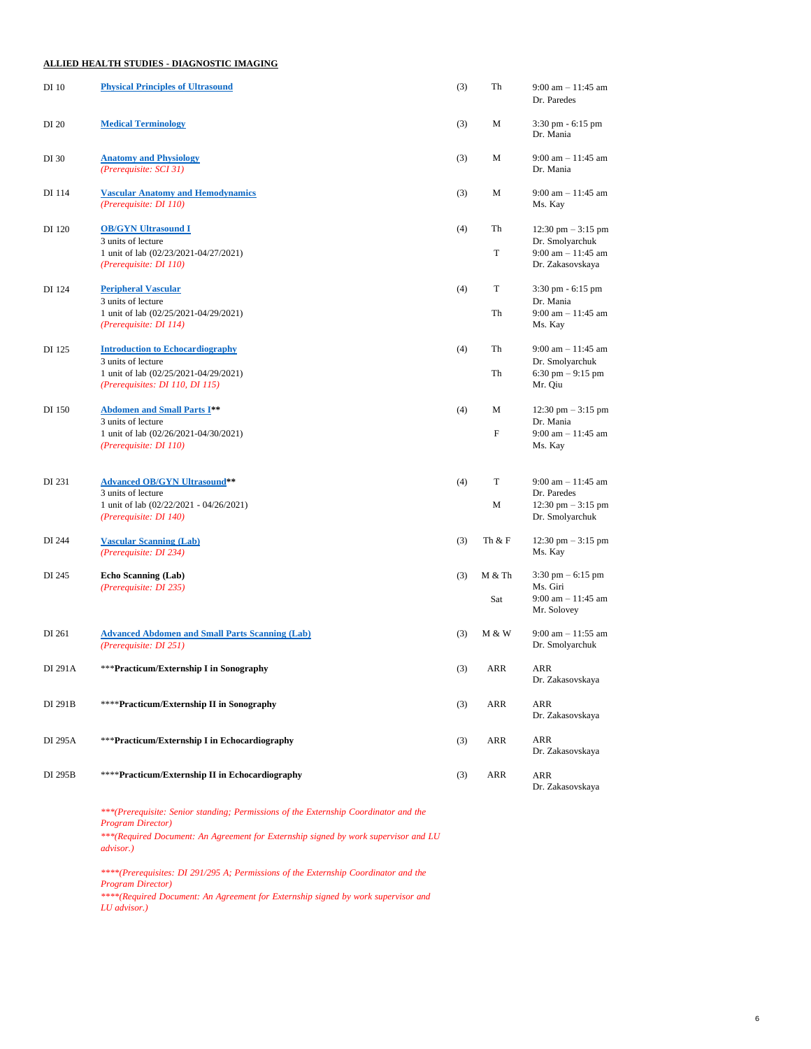### **ALLIED HEALTH STUDIES - DIAGNOSTIC IMAGING**

| DI 10   | <b>Physical Principles of Ultrasound</b>                                         | (3) | Th     | $9:00$ am $-11:45$ am<br>Dr. Paredes              |
|---------|----------------------------------------------------------------------------------|-----|--------|---------------------------------------------------|
| DI 20   | <b>Medical Terminology</b>                                                       | (3) | М      | $3:30 \text{ pm} - 6:15 \text{ pm}$<br>Dr. Mania  |
| DI 30   | <b>Anatomy and Physiology</b><br>(Prerequisite: SCI 31)                          | (3) | M      | $9:00$ am $-11:45$ am<br>Dr. Mania                |
| DI 114  | <b>Vascular Anatomy and Hemodynamics</b><br>(Prerequisite: DI 110)               | (3) | M      | $9:00$ am $-11:45$ am<br>Ms. Kay                  |
| DI 120  | <b>OB/GYN Ultrasound I</b><br>3 units of lecture                                 | (4) | Th     | 12:30 pm $-$ 3:15 pm<br>Dr. Smolyarchuk           |
|         | 1 unit of lab (02/23/2021-04/27/2021)<br>(Prerequisite: DI 110)                  |     | T      | 9:00 am $-11:45$ am<br>Dr. Zakasovskaya           |
| DI 124  | <b>Peripheral Vascular</b><br>3 units of lecture                                 | (4) | T      | 3:30 pm - 6:15 pm<br>Dr. Mania                    |
|         | 1 unit of lab (02/25/2021-04/29/2021)<br>(Prerequisite: DI 114)                  |     | Th     | 9:00 am $- 11:45$ am<br>Ms. Kay                   |
| DI 125  | <b>Introduction to Echocardiography</b><br>3 units of lecture                    | (4) | Th     | $9:00$ am $-11:45$ am<br>Dr. Smolyarchuk          |
|         | 1 unit of lab (02/25/2021-04/29/2021)<br>(Prerequisites: DI 110, DI 115)         |     | Th     | 6:30 pm $-9:15$ pm<br>Mr. Qiu                     |
| DI 150  | <b>Abdomen and Small Parts I**</b><br>3 units of lecture                         | (4) | М      | $12:30 \text{ pm} - 3:15 \text{ pm}$<br>Dr. Mania |
|         | 1 unit of lab (02/26/2021-04/30/2021)<br>(Prerequisite: DI 110)                  |     | F      | $9:00$ am $-11:45$ am<br>Ms. Kay                  |
| DI 231  | <b>Advanced OB/GYN Ultrasound**</b><br>3 units of lecture                        | (4) | T      | $9:00$ am $-11:45$ am<br>Dr. Paredes              |
|         | 1 unit of lab (02/22/2021 - 04/26/2021)<br>(Prerequisite: DI 140)                |     | М      | 12:30 pm $-$ 3:15 pm<br>Dr. Smolyarchuk           |
| DI 244  | <b>Vascular Scanning (Lab)</b><br>(Prerequisite: DI 234)                         | (3) | Th & F | 12:30 pm $-$ 3:15 pm<br>Ms. Kay                   |
| DI 245  | <b>Echo Scanning (Lab)</b><br>(Prerequisite: DI 235)                             | (3) | M & Th | $3:30 \text{ pm} - 6:15 \text{ pm}$<br>Ms. Giri   |
|         |                                                                                  |     | Sat    | $9:00$ am $-11:45$ am<br>Mr. Solovey              |
| DI 261  | <b>Advanced Abdomen and Small Parts Scanning (Lab)</b><br>(Prerequisite: DI 251) | (3) | M & W  | $9:00$ am $-11:55$ am<br>Dr. Smolyarchuk          |
| DI 291A | ***Practicum/Externship I in Sonography                                          | (3) | ARR    | ARR<br>Dr. Zakasovskaya                           |
| DI 291B | ****Practicum/Externship II in Sonography                                        | (3) | ARR    | ARR<br>Dr. Zakasovskaya                           |
| DI 295A | ***Practicum/Externship I in Echocardiography                                    | (3) | ARR    | ARR<br>Dr. Zakasovskaya                           |
| DI 295B | ****Practicum/Externship II in Echocardiography                                  | (3) | ARR    | ARR<br>Dr. Zakasovskaya                           |

*\*\*\*(Prerequisite: Senior standing; Permissions of the Externship Coordinator and the Program Director)*

*\*\*\*(Required Document: An Agreement for Externship signed by work supervisor and LU advisor.)*

*\*\*\*\*(Prerequisites: DI 291/295 A; Permissions of the Externship Coordinator and the Program Director)*

*\*\*\*\*(Required Document: An Agreement for Externship signed by work supervisor and LU advisor.)*